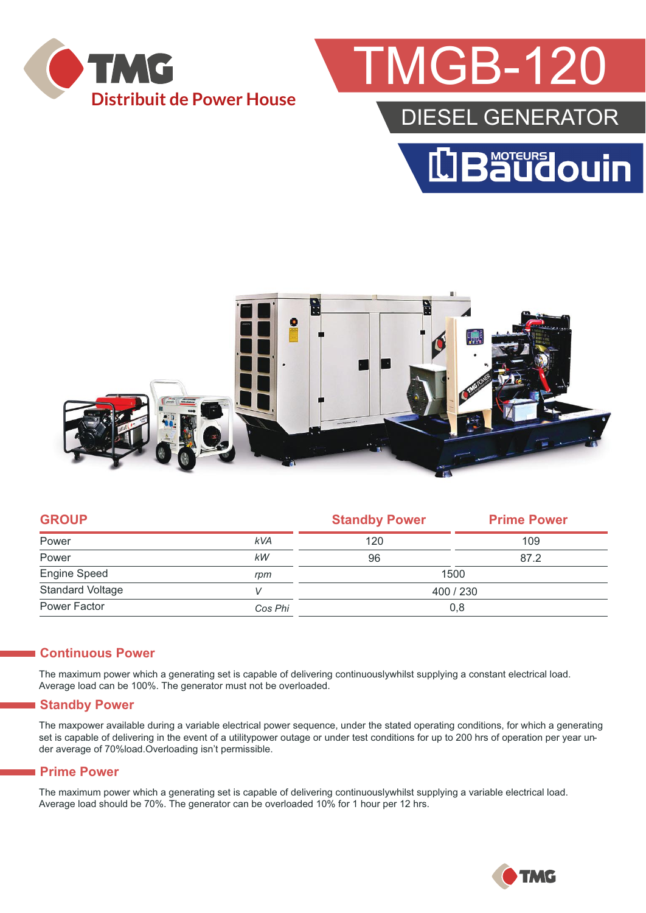

## **MGB-12**

### DIESEL GENERATOR





| <b>GROUP</b>            |            | <b>Standby Power</b> | <b>Prime Power</b> |  |
|-------------------------|------------|----------------------|--------------------|--|
| Power                   | <b>kVA</b> | 120                  | 109                |  |
| Power                   | kW         | 96                   | 87.2               |  |
| Engine Speed            | rpm        | 1500                 |                    |  |
| <b>Standard Voltage</b> |            | 400 / 230            |                    |  |
| Power Factor            | Cos Phi    | 0,8                  |                    |  |
|                         |            |                      |                    |  |

#### **Continuous Power**

The maximum power which a generating set is capable of delivering continuouslywhilst supplying a constant electrical load. Average load can be 100%. The generator must not be overloaded.

#### **Standby Power**

The maxpower available during a variable electrical power sequence, under the stated operating conditions, for which a generating set is capable of delivering in the event of a utilitypower outage or under test conditions for up to 200 hrs of operation per year under average of 70%load.Overloading isn't permissible.

#### **Prime Power**

The maximum power which a generating set is capable of delivering continuouslywhilst supplying a variable electrical load. Average load should be 70%. The generator can be overloaded 10% for 1 hour per 12 hrs.

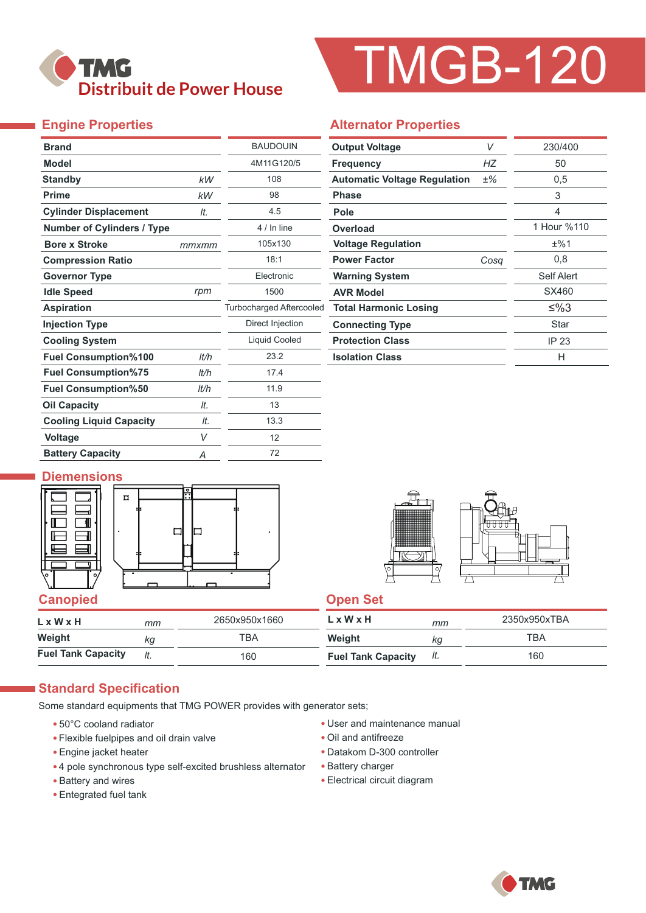

# TMGB-120

### **Engine Properties**

| <b>Brand</b>                      |       | <b>BAUDOUIN</b>                 |
|-----------------------------------|-------|---------------------------------|
| <b>Model</b>                      |       | 4M11G120/5                      |
| <b>Standby</b>                    | kW    | 108                             |
| <b>Prime</b>                      | kW    | 98                              |
| <b>Cylinder Displacement</b>      | It.   | 4.5                             |
| <b>Number of Cylinders / Type</b> |       | 4 / In line                     |
| <b>Bore x Stroke</b>              | mmxmm | 105x130                         |
| <b>Compression Ratio</b>          |       | 18:1                            |
| <b>Governor Type</b>              |       | Electronic                      |
| <b>Idle Speed</b>                 | rpm   | 1500                            |
| <b>Aspiration</b>                 |       | <b>Turbocharged Aftercooled</b> |
| <b>Injection Type</b>             |       | Direct Injection                |
| <b>Cooling System</b>             |       | Liquid Cooled                   |
| <b>Fuel Consumption%100</b>       | lt/h  | 23.2                            |
| <b>Fuel Consumption%75</b>        | lt/h  | 17.4                            |
| <b>Fuel Consumption%50</b>        | It/h  | 11.9                            |
| <b>Oil Capacity</b>               | It.   | 13                              |
| <b>Cooling Liquid Capacity</b>    | It.   | 13.3                            |
| <b>Voltage</b>                    | V     | 12                              |
| <b>Battery Capacity</b>           | Α     | 72                              |

#### **Alternator Properties**

| <b>Output Voltage</b>               | V     | 230/400     |  |
|-------------------------------------|-------|-------------|--|
| <b>Frequency</b>                    | НZ    | 50          |  |
| <b>Automatic Voltage Regulation</b> | $±\%$ | 0,5         |  |
| <b>Phase</b>                        |       | 3           |  |
| Pole                                |       | 4           |  |
| Overload                            |       | 1 Hour %110 |  |
| <b>Voltage Regulation</b>           |       | ±%1         |  |
| <b>Power Factor</b>                 | Cosa  | 0,8         |  |
| <b>Warning System</b>               |       | Self Alert  |  |
| <b>AVR Model</b>                    |       | SX460       |  |
| <b>Total Harmonic Losing</b>        |       | ≤%3         |  |
| <b>Connecting Type</b>              |       | Star        |  |
| <b>Protection Class</b>             |       | IP 23       |  |
| <b>Isolation Class</b>              |       | н           |  |

#### **Diemensions**





| L x W x H                 | mm  | 2650x950x1660 | $L \times W \times H$     | mm  | 2350x950xTBA |
|---------------------------|-----|---------------|---------------------------|-----|--------------|
| Weight                    | КQ  | ТВА           | Weight                    | ΚG  | TBA          |
| <b>Fuel Tank Capacity</b> | lt. | 160           | <b>Fuel Tank Capacity</b> | It. | 160          |

#### **Standard Specification**

Some standard equipments that TMG POWER provides with generator sets;

- 50°C cooland radiator
- Flexible fuelpipes and oil drain valve
- Engine jacket heater
- 4 pole synchronous type self-excited brushless alternator
- Battery and wires
- Entegrated fuel tank
- User and maintenance manual
- Oil and antifreeze
- Datakom D-300 controller
- Battery charger
- Electrical circuit diagram